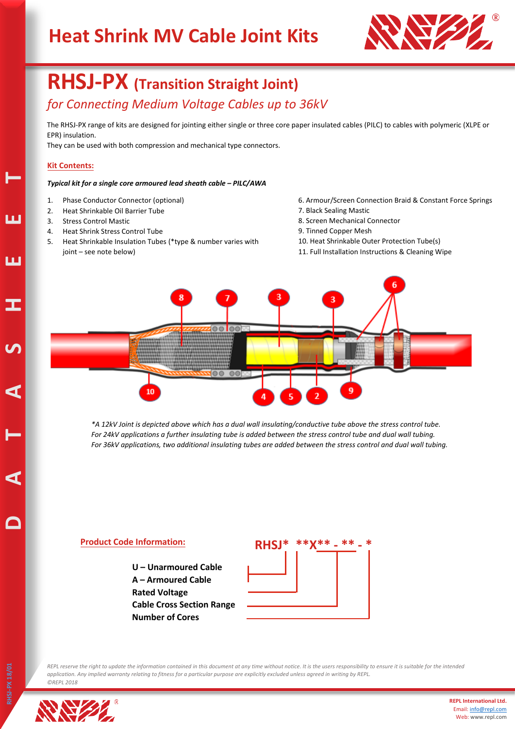# **Heat Shrink MV Cable Joint Kits**



## **RHSJ-PX (Transition Straight Joint)** *for Connecting Medium Voltage Cables up to 36kV*

The RHSJ-PX range of kits are designed for jointing either single or three core paper insulated cables (PILC) to cables with polymeric (XLPE or EPR) insulation.

They can be used with both compression and mechanical type connectors.

#### **Kit Contents:**

#### *Typical kit for a single core armoured lead sheath cable – PILC/AWA*

- 1. Phase Conductor Connector (optional)
- 2. Heat Shrinkable Oil Barrier Tube
- 3. Stress Control Mastic
- 4. Heat Shrink Stress Control Tube
- 5. Heat Shrinkable Insulation Tubes (\*type & number varies with joint – see note below)
- 6. Armour/Screen Connection Braid & Constant Force Springs
- 7. Black Sealing Mastic
- 8. Screen Mechanical Connector
- 9. Tinned Copper Mesh
- 10. Heat Shrinkable Outer Protection Tube(s)
- 11. Full Installation Instructions & Cleaning Wipe



*\*A 12kV Joint is depicted above which has a dual wall insulating/conductive tube above the stress control tube. For 24kV applications a further insulating tube is added between the stress control tube and dual wall tubing. For 36kV applications, two additional insulating tubes are added between the stress control and dual wall tubing.*

#### **Product Code Information:**

 **U – Unarmoured Cable A – Armoured Cable Rated Voltage Cable Cross Section Range Number of Cores**



*REPL reserve the right to update the information contained in this document at any time without notice. It is the users responsibility to ensure it is suitable for the intended application. Any implied warranty relating to fitness for a particular purpose are explicitly excluded unless agreed in writing by REPL. ©REPL 2018*



**D A** 

**T**

**A S H E**

**E**

**T**